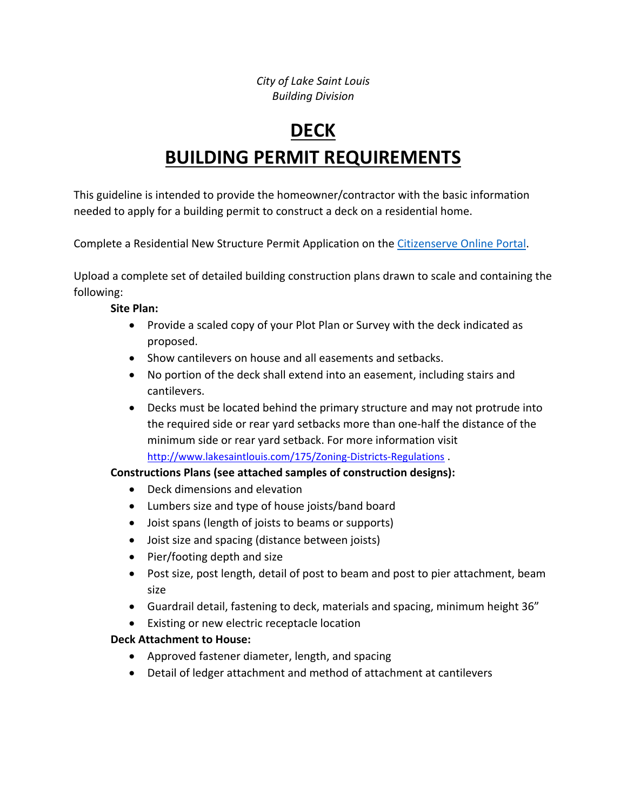*City of Lake Saint Louis Building Division* 

# **DECK BUILDING PERMIT REQUIREMENTS**

This guideline is intended to provide the homeowner/contractor with the basic information needed to apply for a building permit to construct a deck on a residential home.

Complete a Residential New Structure Permit Application on the Citizenserve Online Portal.

Upload a complete set of detailed building construction plans drawn to scale and containing the following:

#### **Site Plan:**

- Provide a scaled copy of your Plot Plan or Survey with the deck indicated as proposed.
- Show cantilevers on house and all easements and setbacks.
- No portion of the deck shall extend into an easement, including stairs and cantilevers.
- Decks must be located behind the primary structure and may not protrude into the required side or rear yard setbacks more than one‐half the distance of the minimum side or rear yard setback. For more information visit http://www.lakesaintlouis.com/175/Zoning-Districts-Regulations .

# **Constructions Plans (see attached samples of construction designs):**

- Deck dimensions and elevation
- Lumbers size and type of house joists/band board
- Joist spans (length of joists to beams or supports)
- Joist size and spacing (distance between joists)
- Pier/footing depth and size
- Post size, post length, detail of post to beam and post to pier attachment, beam size
- Guardrail detail, fastening to deck, materials and spacing, minimum height 36"
- Existing or new electric receptacle location

# **Deck Attachment to House:**

- Approved fastener diameter, length, and spacing
- Detail of ledger attachment and method of attachment at cantilevers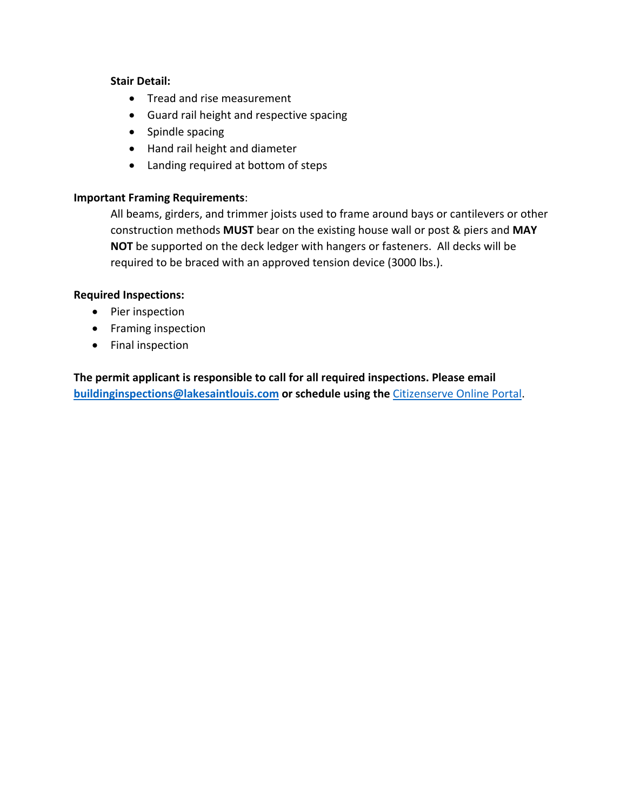#### **Stair Detail:**

- Tread and rise measurement
- Guard rail height and respective spacing
- Spindle spacing
- Hand rail height and diameter
- Landing required at bottom of steps

### **Important Framing Requirements**:

All beams, girders, and trimmer joists used to frame around bays or cantilevers or other construction methods **MUST** bear on the existing house wall or post & piers and **MAY NOT** be supported on the deck ledger with hangers or fasteners. All decks will be required to be braced with an approved tension device (3000 lbs.).

#### **Required Inspections:**

- Pier inspection
- Framing inspection
- Final inspection

**The permit applicant is responsible to call for all required inspections. Please email buildinginspections@lakesaintlouis.com or schedule using the** Citizenserve Online Portal.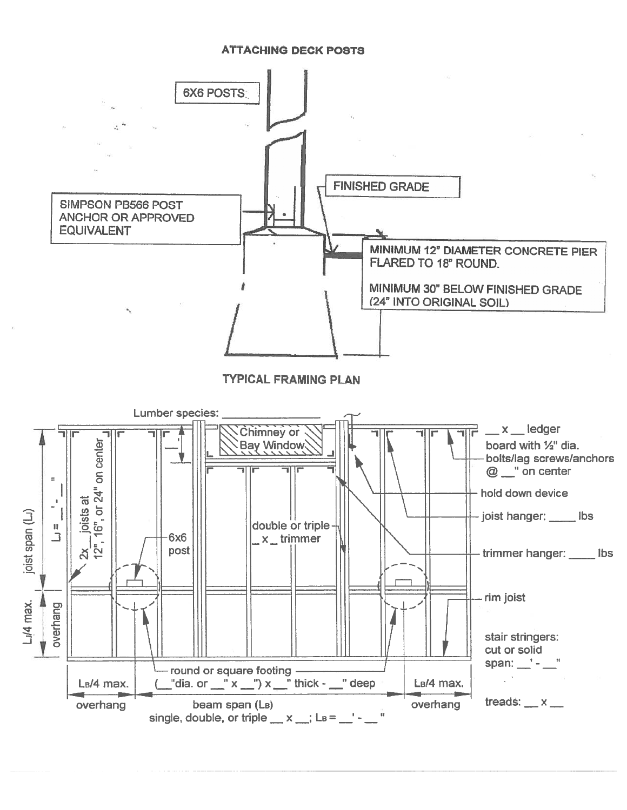#### **ATTACHING DECK POSTS**